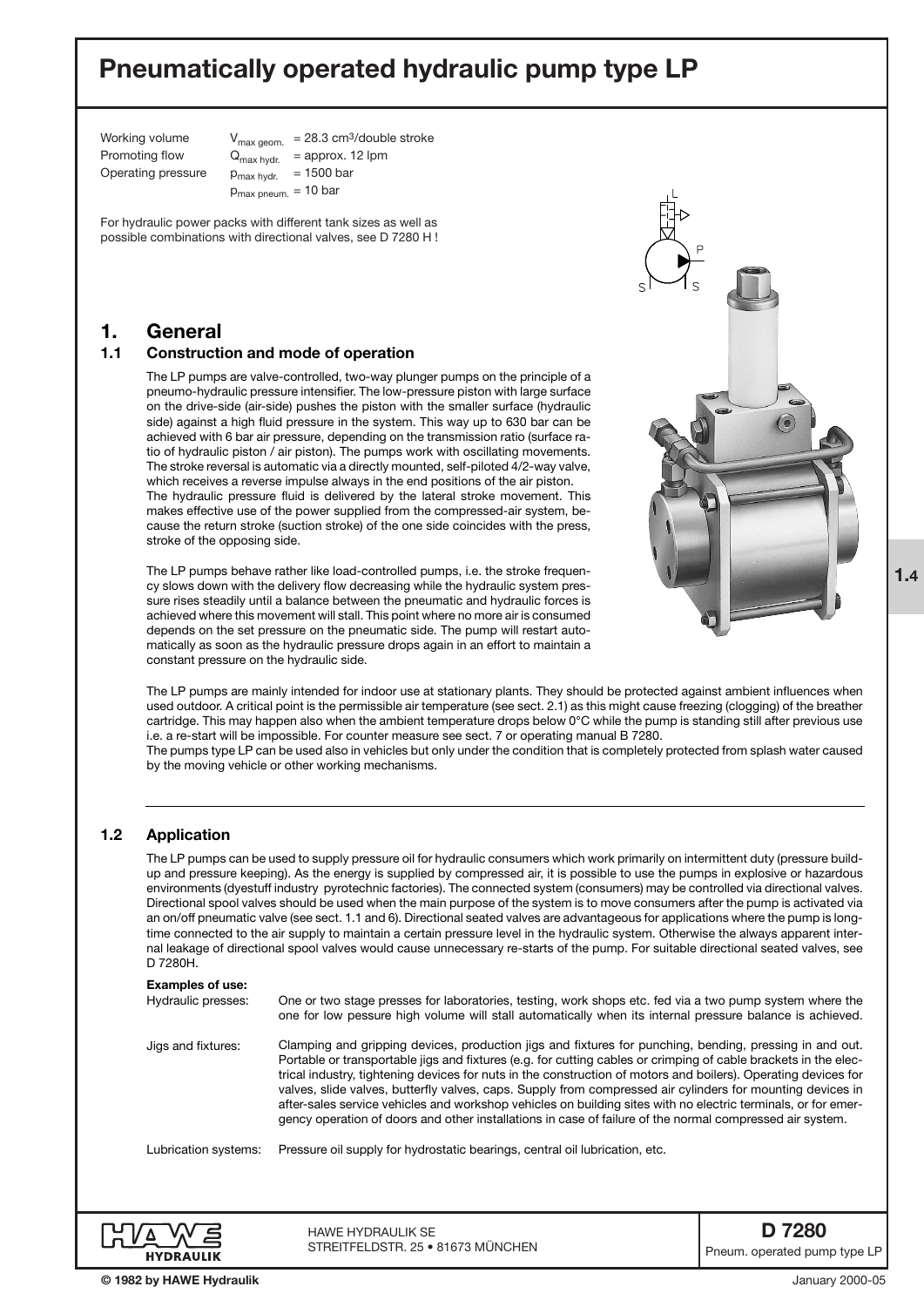# **Pneumatically operated hydraulic pump type LP**

Working volume  $V_{\text{max aeom.}}$  = 28.3 cm<sup>3</sup>/double stroke Promoting flow  $Q_{\text{max hvdr.}}$  = approx. 12 lpm Operating pressure  $p_{max hvdr.}$  = 1500 bar  $p_{max \, pneum.} = 10 \, bar$ 

For hydraulic power packs with different tank sizes as well as possible combinations with directional valves, see D 7280 H !

## **1. General**

### **1.1 Construction and mode of operation**

The LP pumps are valve-controlled, two-way plunger pumps on the principle of a pneumo-hydraulic pressure intensifier. The low-pressure piston with large surface on the drive-side (air-side) pushes the piston with the smaller surface (hydraulic side) against a high fluid pressure in the system. This way up to 630 bar can be achieved with 6 bar air pressure, depending on the transmission ratio (surface ratio of hydraulic piston / air piston). The pumps work with oscillating movements. The stroke reversal is automatic via a directly mounted, self-piloted 4/2-way valve, which receives a reverse impulse always in the end positions of the air piston. The hydraulic pressure fluid is delivered by the lateral stroke movement. This makes effective use of the power supplied from the compressed-air system, because the return stroke (suction stroke) of the one side coincides with the press, stroke of the opposing side.

The LP pumps behave rather like load-controlled pumps, i.e. the stroke frequency slows down with the delivery flow decreasing while the hydraulic system pressure rises steadily until a balance between the pneumatic and hydraulic forces is achieved where this movement will stall. This point where no more air is consumed depends on the set pressure on the pneumatic side. The pump will restart automatically as soon as the hydraulic pressure drops again in an effort to maintain a constant pressure on the hydraulic side.



The LP pumps are mainly intended for indoor use at stationary plants. They should be protected against ambient influences when used outdoor. A critical point is the permissible air temperature (see sect. 2.1) as this might cause freezing (clogging) of the breather cartridge. This may happen also when the ambient temperature drops below 0°C while the pump is standing still after previous use i.e. a re-start will be impossible. For counter measure see sect. 7 or operating manual B 7280.

The pumps type LP can be used also in vehicles but only under the condition that is completely protected from splash water caused by the moving vehicle or other working mechanisms.

### **1.2 Application**

The LP pumps can be used to supply pressure oil for hydraulic consumers which work primarily on intermittent duty (pressure buildup and pressure keeping). As the energy is supplied by compressed air, it is possible to use the pumps in explosive or hazardous environments (dyestuff industry pyrotechnic factories). The connected system (consumers) may be controlled via directional valves. Directional spool valves should be used when the main purpose of the system is to move consumers after the pump is activated via an on/off pneumatic valve (see sect. 1.1 and 6). Directional seated valves are advantageous for applications where the pump is longtime connected to the air supply to maintain a certain pressure level in the hydraulic system. Otherwise the always apparent internal leakage of directional spool valves would cause unnecessary re-starts of the pump. For suitable directional seated valves, see D 7280H.

|                                               | <b>HAWE HYDRAULIK SE</b><br>STREITFELDSTR, 25 · 81673 MÜNCHEN                                                                                                                                                                                                                                                                                                                                                                                                                                                                                                                                                                                                                           |  |
|-----------------------------------------------|-----------------------------------------------------------------------------------------------------------------------------------------------------------------------------------------------------------------------------------------------------------------------------------------------------------------------------------------------------------------------------------------------------------------------------------------------------------------------------------------------------------------------------------------------------------------------------------------------------------------------------------------------------------------------------------------|--|
| Lubrication systems:                          | Pressure oil supply for hydrostatic bearings, central oil lubrication, etc.                                                                                                                                                                                                                                                                                                                                                                                                                                                                                                                                                                                                             |  |
| Jigs and fixtures:                            | Clamping and gripping devices, production jigs and fixtures for punching, bending, pressing in and out.<br>Portable or transportable jigs and fixtures (e.g. for cutting cables or crimping of cable brackets in the elec-<br>trical industry, tightening devices for nuts in the construction of motors and boilers). Operating devices for<br>valves, slide valves, butterfly valves, caps. Supply from compressed air cylinders for mounting devices in<br>after-sales service vehicles and workshop vehicles on building sites with no electric terminals, or for emer-<br>gency operation of doors and other installations in case of failure of the normal compressed air system. |  |
| <b>Examples of use:</b><br>Hydraulic presses: | One or two stage presses for laboratories, testing, work shops etc. fed via a two pump system where the<br>one for low pessure high volume will stall automatically when its internal pressure balance is achieved.                                                                                                                                                                                                                                                                                                                                                                                                                                                                     |  |
|                                               |                                                                                                                                                                                                                                                                                                                                                                                                                                                                                                                                                                                                                                                                                         |  |

**1.4**

Pneum. operated pump type LP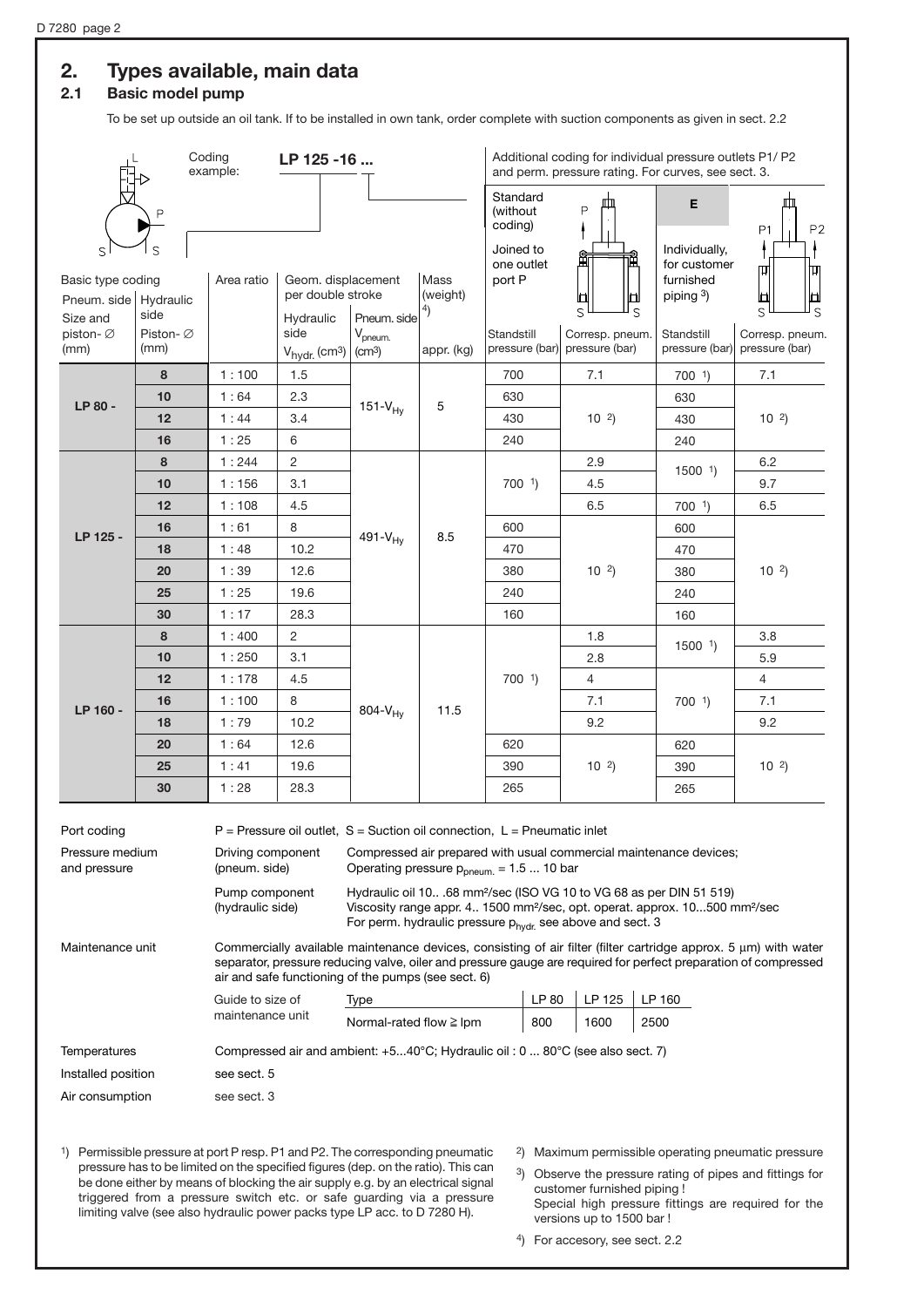## **2. Types available, main data**

### **2.1 Basic model pump**

To be set up outside an oil tank. If to be installed in own tank, order complete with suction components as given in sect. 2.2

|                                |                   | Coding<br>example:                 | LP 125 -16                                                                     |                                                          |            |                                               | Additional coding for individual pressure outlets P1/ P2<br>and perm. pressure rating. For curves, see sect. 3.                                                                                                                                   |                                            |                                                                                                                                                                                                                                    |
|--------------------------------|-------------------|------------------------------------|--------------------------------------------------------------------------------|----------------------------------------------------------|------------|-----------------------------------------------|---------------------------------------------------------------------------------------------------------------------------------------------------------------------------------------------------------------------------------------------------|--------------------------------------------|------------------------------------------------------------------------------------------------------------------------------------------------------------------------------------------------------------------------------------|
|                                |                   |                                    |                                                                                |                                                          |            | Standard<br>(without<br>coding)               | P                                                                                                                                                                                                                                                 | Е                                          | Ш<br>P2<br>P <sub>1</sub>                                                                                                                                                                                                          |
| S<br>Basic type coding         |                   | Area ratio                         | Geom. displacement                                                             |                                                          | Mass       | Joined to<br>one outlet<br>port P             | 通<br>Ш                                                                                                                                                                                                                                            | Individually,<br>for customer<br>furnished | ΙH                                                                                                                                                                                                                                 |
| Pneum. side                    | Hydraulic<br>side |                                    | per double stroke                                                              |                                                          | (weight)   |                                               | ш<br>S<br>S                                                                                                                                                                                                                                       | piping 3)                                  | ш<br>S<br>S                                                                                                                                                                                                                        |
| Size and<br>piston- Ø<br>(mm)  | Piston-Ø<br>(mm)  |                                    | Hydraulic<br>side<br>$V_{\text{hydr.}}$ (cm <sup>3</sup> )                     | Pneum, side<br>V <sub>pneum.</sub><br>(cm <sup>3</sup> ) | appr. (kg) | Standstill                                    | Corresp. pneum.<br>pressure (bar) pressure (bar)                                                                                                                                                                                                  | Standstill<br>pressure (bar)               | Corresp. pneum.<br>pressure (bar)                                                                                                                                                                                                  |
|                                | 8                 | 1:100                              | 1.5                                                                            |                                                          |            | 700                                           | 7.1                                                                                                                                                                                                                                               | $700$ <sup>1</sup> )                       | 7.1                                                                                                                                                                                                                                |
|                                | 10                | 1:64                               | 2.3                                                                            |                                                          |            | 630                                           |                                                                                                                                                                                                                                                   | 630                                        |                                                                                                                                                                                                                                    |
| LP 80 -                        | 12                | 1:44                               | 3.4                                                                            | $151-V_{Hy}$                                             | 5          | 430                                           | $10^{2}$                                                                                                                                                                                                                                          | 430                                        | $10^{2}$                                                                                                                                                                                                                           |
|                                | 16                | 1:25                               | 6                                                                              |                                                          |            | 240                                           |                                                                                                                                                                                                                                                   | 240                                        |                                                                                                                                                                                                                                    |
|                                | 8                 | 1:244                              | $\overline{c}$                                                                 |                                                          |            |                                               | 2.9                                                                                                                                                                                                                                               |                                            | 6.2                                                                                                                                                                                                                                |
|                                | 10                | 1:156                              | 3.1                                                                            |                                                          |            | $700$ <sup>1</sup> )                          | 4.5                                                                                                                                                                                                                                               | $1500$ <sup>1</sup> )                      | 9.7                                                                                                                                                                                                                                |
|                                | 12                | 1:108                              | 4.5                                                                            |                                                          |            |                                               | 6.5                                                                                                                                                                                                                                               | $700-1$                                    | 6.5                                                                                                                                                                                                                                |
|                                | 16                | 1:61                               | 8                                                                              |                                                          |            | 600                                           |                                                                                                                                                                                                                                                   | 600                                        |                                                                                                                                                                                                                                    |
| LP 125 -                       | 18                | 1:48                               | 10.2                                                                           | $491-V_{Hy}$                                             | 8.5        | 470                                           | $10^{2}$                                                                                                                                                                                                                                          | 470                                        | $10^{2}$                                                                                                                                                                                                                           |
|                                | 20                | 1:39                               | 12.6                                                                           |                                                          |            | 380                                           |                                                                                                                                                                                                                                                   | 380                                        |                                                                                                                                                                                                                                    |
|                                | 25                | 1:25                               | 19.6                                                                           |                                                          |            | 240                                           |                                                                                                                                                                                                                                                   | 240                                        |                                                                                                                                                                                                                                    |
|                                | 30                | 1:17                               | 28.3                                                                           |                                                          |            | 160                                           |                                                                                                                                                                                                                                                   | 160                                        |                                                                                                                                                                                                                                    |
|                                | 8                 | 1:400                              | 2                                                                              |                                                          |            |                                               | 1.8                                                                                                                                                                                                                                               | $1500$ <sup>1</sup> )                      | 3.8                                                                                                                                                                                                                                |
|                                | 10                | 1:250                              | 3.1                                                                            |                                                          | 11.5       | $700$ <sup>1</sup> )                          | 2.8                                                                                                                                                                                                                                               |                                            | 5.9                                                                                                                                                                                                                                |
|                                | 12                | 1:178                              | 4.5                                                                            | $804-V_{Hy}$                                             |            |                                               | $\overline{4}$                                                                                                                                                                                                                                    |                                            | 4                                                                                                                                                                                                                                  |
| LP 160 -                       | 16                | 1:100                              | 8                                                                              |                                                          |            |                                               | 7.1                                                                                                                                                                                                                                               | $700$ <sup>1</sup> )                       | 7.1                                                                                                                                                                                                                                |
|                                | 18                | 1:79                               | 10.2                                                                           |                                                          |            |                                               | 9.2                                                                                                                                                                                                                                               |                                            | 9.2                                                                                                                                                                                                                                |
|                                | 20                | 1:64                               | 12.6                                                                           |                                                          |            | 620                                           |                                                                                                                                                                                                                                                   | 620                                        | $10^{2}$                                                                                                                                                                                                                           |
|                                | 25                | 1:41                               | 19.6                                                                           |                                                          |            | 390                                           | $10^{2}$                                                                                                                                                                                                                                          | 390                                        |                                                                                                                                                                                                                                    |
|                                | 30                | 1:28                               | 28.3                                                                           |                                                          |            | 265                                           |                                                                                                                                                                                                                                                   | 265                                        |                                                                                                                                                                                                                                    |
| Port coding<br>Pressure medium |                   | Driving component                  | $P =$ Pressure oil outlet, $S =$ Suction oil connection, $L =$ Pneumatic inlet |                                                          |            |                                               | Compressed air prepared with usual commercial maintenance devices;                                                                                                                                                                                |                                            |                                                                                                                                                                                                                                    |
| and pressure                   |                   | (pneum. side)                      |                                                                                |                                                          |            | Operating pressure $p_{pneum.} = 1.5  10$ bar |                                                                                                                                                                                                                                                   |                                            |                                                                                                                                                                                                                                    |
|                                |                   | Pump component<br>(hydraulic side) |                                                                                |                                                          |            |                                               | Hydraulic oil 1068 mm <sup>2</sup> /sec (ISO VG 10 to VG 68 as per DIN 51 519)<br>Viscosity range appr. 4 1500 mm <sup>2</sup> /sec, opt. operat. approx. 10500 mm <sup>2</sup> /sec<br>For perm. hydraulic pressure phydr. see above and sect. 3 |                                            |                                                                                                                                                                                                                                    |
| Maintenance unit               |                   |                                    | air and safe functioning of the pumps (see sect. 6)                            |                                                          |            |                                               |                                                                                                                                                                                                                                                   |                                            | Commercially available maintenance devices, consisting of air filter (filter cartridge approx. 5 µm) with water<br>separator, pressure reducing valve, oiler and pressure gauge are required for perfect preparation of compressed |
|                                |                   | Guide to size of                   |                                                                                | Type                                                     |            | LP 80                                         | LP 125                                                                                                                                                                                                                                            | LP 160                                     |                                                                                                                                                                                                                                    |
|                                |                   | maintenance unit                   |                                                                                | Normal-rated flow $\geq$ lpm                             |            | 800                                           | 1600                                                                                                                                                                                                                                              | 2500                                       |                                                                                                                                                                                                                                    |
| Temperatures                   |                   |                                    |                                                                                |                                                          |            |                                               | Compressed air and ambient: $+540^{\circ}$ C; Hydraulic oil : 0  80 $^{\circ}$ C (see also sect. 7)                                                                                                                                               |                                            |                                                                                                                                                                                                                                    |
| Installed position             |                   | see sect. 5                        |                                                                                |                                                          |            |                                               |                                                                                                                                                                                                                                                   |                                            |                                                                                                                                                                                                                                    |
| Air consumption                |                   | see sect. 3                        |                                                                                |                                                          |            |                                               |                                                                                                                                                                                                                                                   |                                            |                                                                                                                                                                                                                                    |
|                                |                   |                                    |                                                                                |                                                          |            |                                               |                                                                                                                                                                                                                                                   |                                            |                                                                                                                                                                                                                                    |

- 1) Permissible pressure at port P resp. P1 and P2. The corresponding pneumatic pressure has to be limited on the specified figures (dep. on the ratio). This can be done either by means of blocking the air supply e.g. by an electrical signal triggered from a pressure switch etc. or safe guarding via a pressure limiting valve (see also hydraulic power packs type LP acc. to D 7280 H).
- 2) Maximum permissible operating pneumatic pressure
- 3) Observe the pressure rating of pipes and fittings for customer furnished piping ! Special high pressure fittings are required for the versions up to 1500 bar !
- 4) For accesory, see sect. 2.2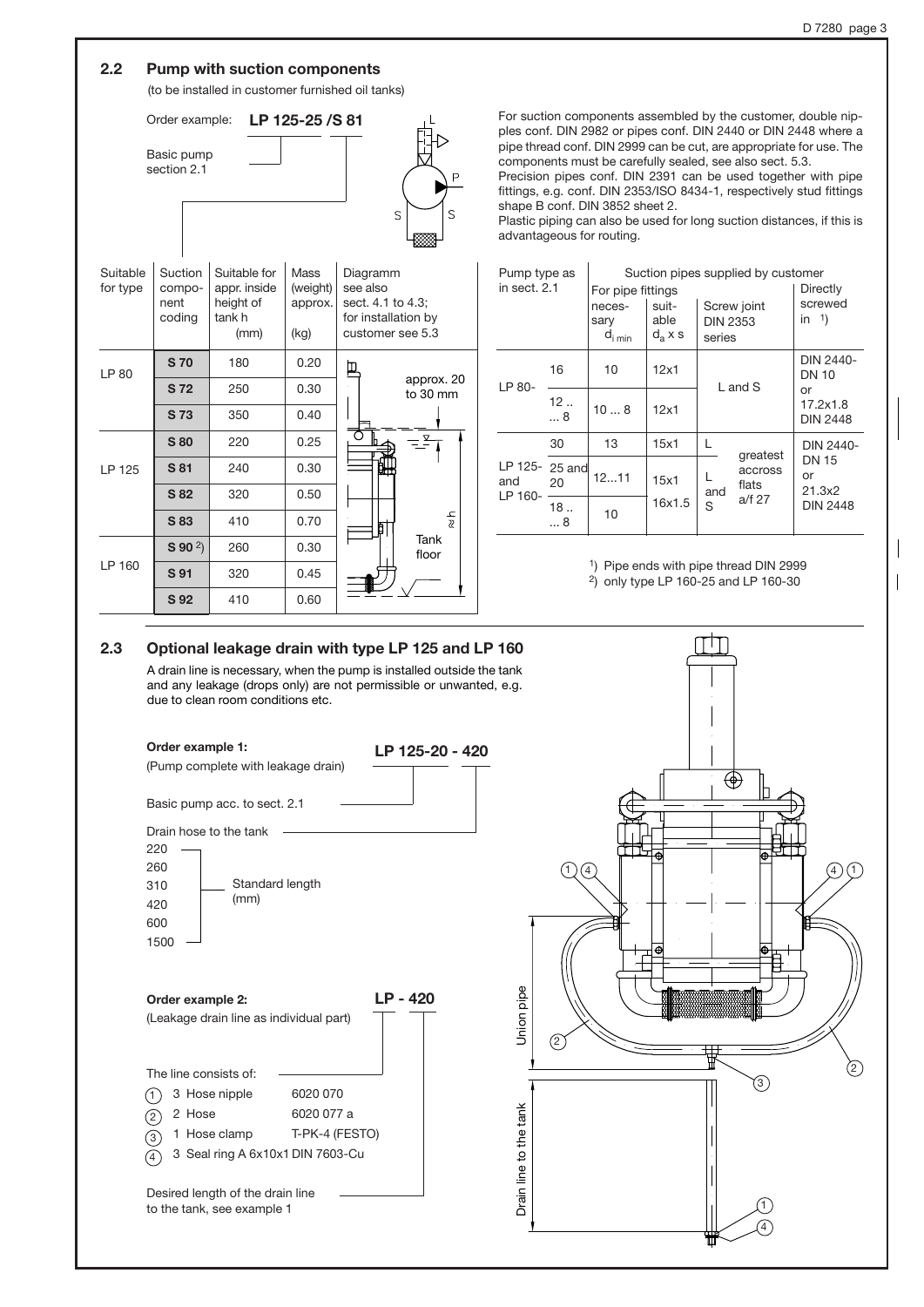#### **2.2 Pump with suction components**

(to be installed in customer furnished oil tanks)



| Suitable<br>for type | Suction<br>compo-<br>nent<br>coding | Suitable for<br>appr. inside<br>height of<br>tank h<br>(mm) | Mass<br>(weight)<br>approx.<br>(kg) | Diagramm<br>see also<br>sect. 4.1 to 4.3;<br>for installation by<br>customer see 5.3 |  |  |
|----------------------|-------------------------------------|-------------------------------------------------------------|-------------------------------------|--------------------------------------------------------------------------------------|--|--|
| LP 80                | <b>S70</b>                          | 180                                                         | 0.20                                | ם                                                                                    |  |  |
|                      | <b>S72</b>                          | 250                                                         | 0.30                                | approx. 20<br>to 30 mm                                                               |  |  |
|                      | S 73                                | 350                                                         | 0.40                                |                                                                                      |  |  |
|                      | <b>S</b> 80                         | 220                                                         | 0.25                                | ⊻                                                                                    |  |  |
| LP 125               | S 81                                | 240                                                         | 0.30                                | ËΗ                                                                                   |  |  |
|                      | S 82                                | 320                                                         | 0.50                                |                                                                                      |  |  |
|                      | S 83                                | 410                                                         | 0.70                                | 국<br>₿                                                                               |  |  |
|                      | $S$ 90 $^{2}$ )                     | 260                                                         | 0.30                                | Tank<br>floor                                                                        |  |  |
| LP 160               | S 91                                | 320                                                         | 0.45                                |                                                                                      |  |  |
|                      | S 92                                | 410                                                         | 0.60                                |                                                                                      |  |  |

For suction components assembled by the customer, double nipples conf. DIN 2982 or pipes conf. DIN 2440 or DIN 2448 where a pipe thread conf. DIN 2999 can be cut, are appropriate for use. The components must be carefully sealed, see also sect. 5.3.

Precision pipes conf. DIN 2391 can be used together with pipe fittings, e.g. conf. DIN 2353/ISO 8434-1, respectively stud fittings shape B conf. DIN 3852 sheet 2.

Plastic piping can also be used for long suction distances, if this is advantageous for routing.

| Pump type as                     |         |                             | Suction pipes supplied by customer |                           |                              |                                   |
|----------------------------------|---------|-----------------------------|------------------------------------|---------------------------|------------------------------|-----------------------------------|
| in sect. 2.1                     |         | For pipe fittings           | Directly                           |                           |                              |                                   |
|                                  |         | neces-                      | suit-                              | Screw joint               |                              | screwed<br>in $\frac{1}{2}$       |
|                                  |         | sary<br>$d_{i \text{ min}}$ | able<br>$d_{a}$ x s                | <b>DIN 2353</b><br>series |                              |                                   |
| LP 80-                           | 16      | 10                          | 12x1                               | $L$ and $S$               |                              | DIN 2440-<br><b>DN 10</b>         |
|                                  | 12<br>8 | 108                         | 12x1                               |                           |                              | or<br>17.2x1.8<br><b>DIN 2448</b> |
|                                  | 30      | 13                          | 15x1                               |                           | greatest                     | DIN 2440-                         |
| LP 125- 25 and<br>and<br>LP 160- | 20      | 1211                        | 15x1                               | and<br>S                  | accross<br>flats<br>$a/f$ 27 | <b>DN 15</b><br>or<br>21.3x2      |
|                                  | 18<br>8 | 10                          | 16x1.5                             |                           |                              | <b>DIN 2448</b>                   |

1) Pipe ends with pipe thread DIN 2999

2) only type LP 160-25 and LP 160-30

#### **2.3 Optional leakage drain with type LP 125 and LP 160**

A drain line is necessary, when the pump is installed outside the tank and any leakage (drops only) are not permissible or unwanted, e.g. due to clean room conditions etc.



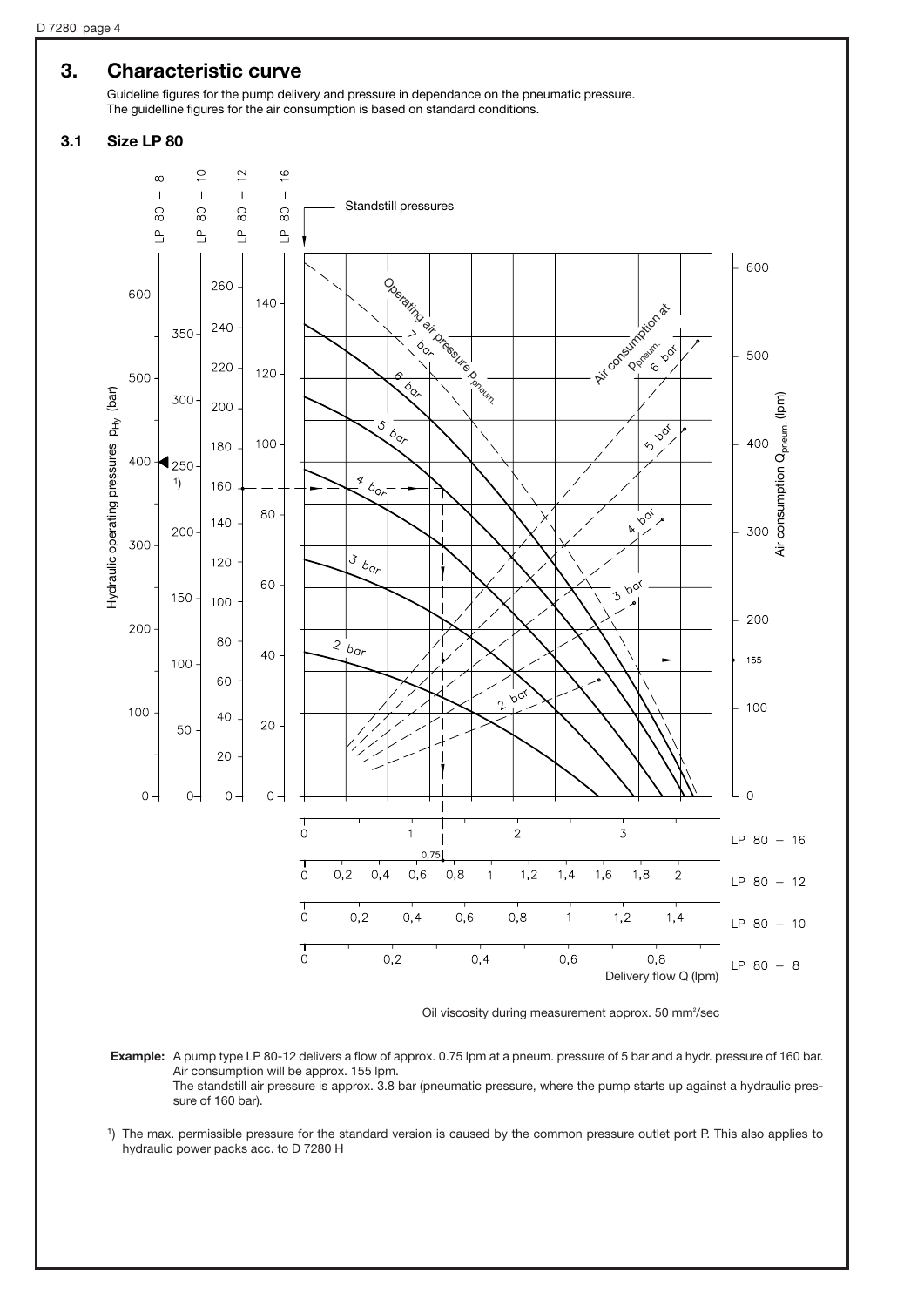## **3. Characteristic curve**

Guideline figures for the pump delivery and pressure in dependance on the pneumatic pressure. The guidelline figures for the air consumption is based on standard conditions.

#### **3.1 Size LP 80**



Oil viscosity during measurement approx. 50 mm²/sec

**Example:** A pump type LP 80-12 delivers a flow of approx. 0.75 lpm at a pneum. pressure of 5 bar and a hydr. pressure of 160 bar. Air consumption will be approx. 155 lpm. The standstill air pressure is approx. 3.8 bar (pneumatic pressure, where the pump starts up against a hydraulic pressure of 160 bar).

1) The max. permissible pressure for the standard version is caused by the common pressure outlet port P. This also applies to hydraulic power packs acc. to D 7280 H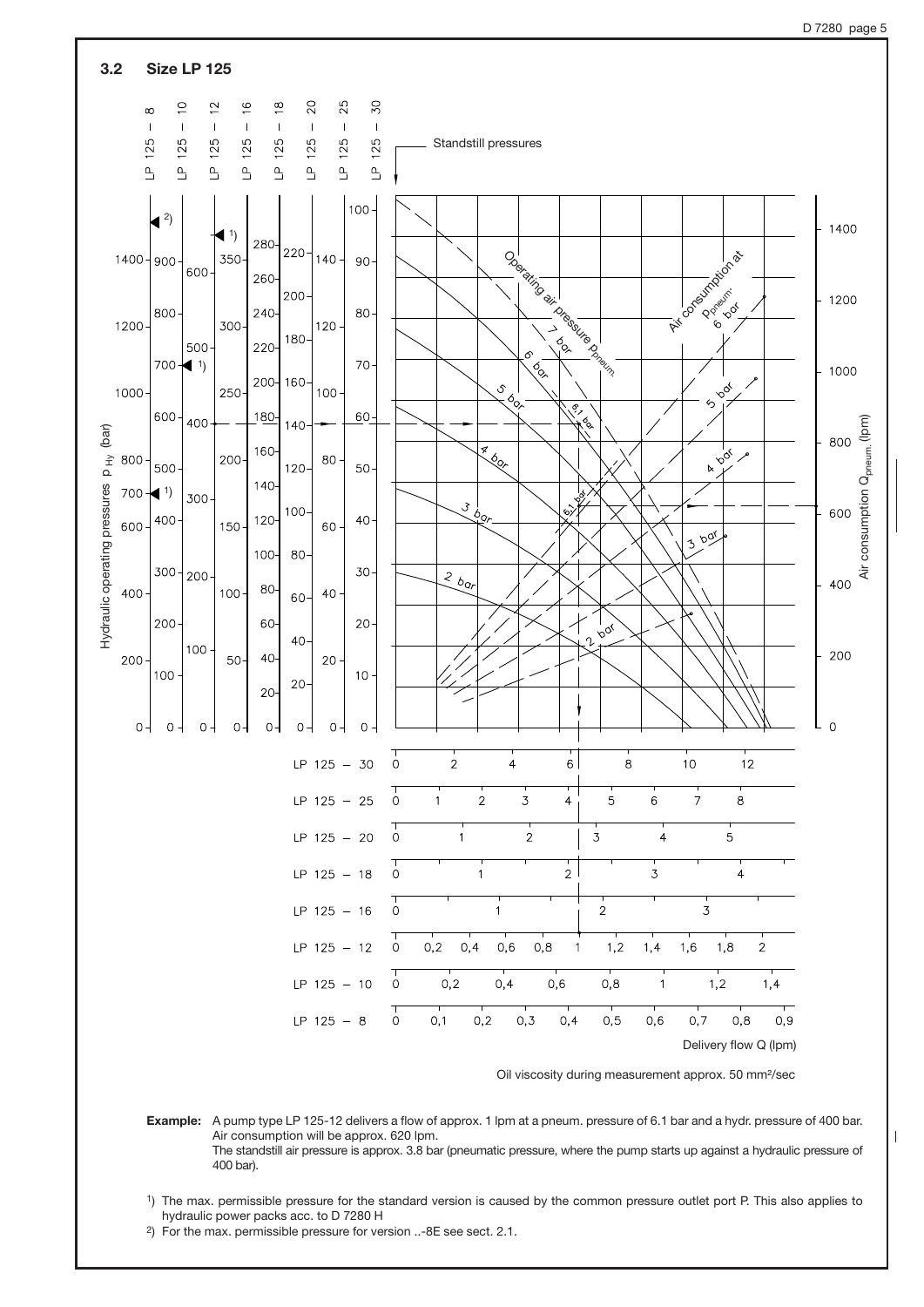

Oil viscosity during measurement approx. 50 mm²/sec

**Example:** A pump type LP 125-12 delivers a flow of approx. 1 lpm at a pneum. pressure of 6.1 bar and a hydr. pressure of 400 bar. Air consumption will be approx. 620 lpm. The standstill air pressure is approx. 3.8 bar (pneumatic pressure, where the pump starts up against a hydraulic pressure of 400 bar).

1) The max. permissible pressure for the standard version is caused by the common pressure outlet port P. This also applies to hydraulic power packs acc. to D 7280 H

2) For the max. permissible pressure for version ..-8E see sect. 2.1.

D 7280 page 5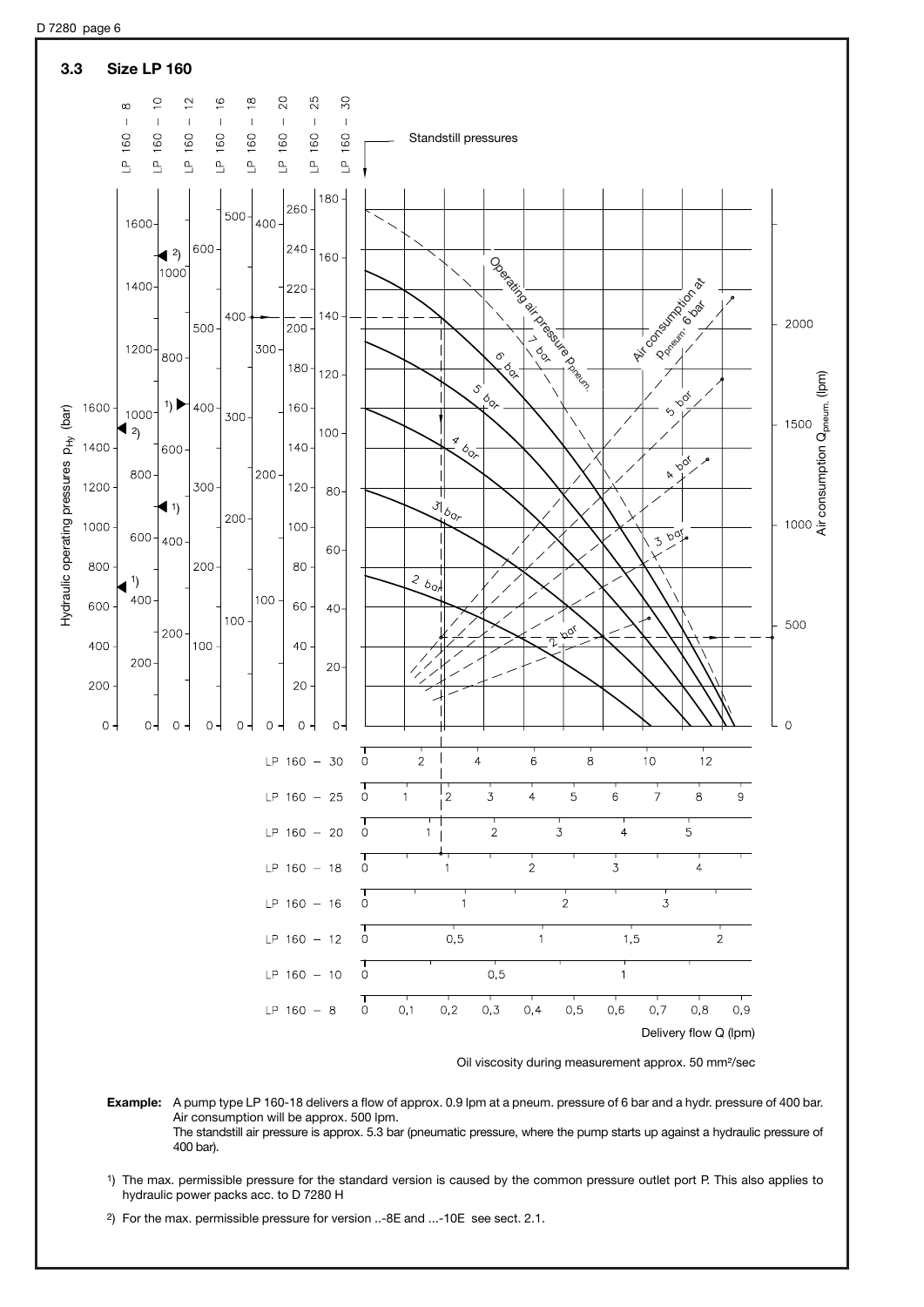

Oil viscosity during measurement approx. 50 mm²/sec

**Example:** A pump type LP 160-18 delivers a flow of approx. 0.9 lpm at a pneum. pressure of 6 bar and a hydr. pressure of 400 bar. Air consumption will be approx. 500 lpm. The standstill air pressure is approx. 5.3 bar (pneumatic pressure, where the pump starts up against a hydraulic pressure of 400 bar).

1) The max. permissible pressure for the standard version is caused by the common pressure outlet port P. This also applies to hydraulic power packs acc. to D 7280 H

2) For the max. permissible pressure for version ..-8E and ...-10E see sect. 2.1.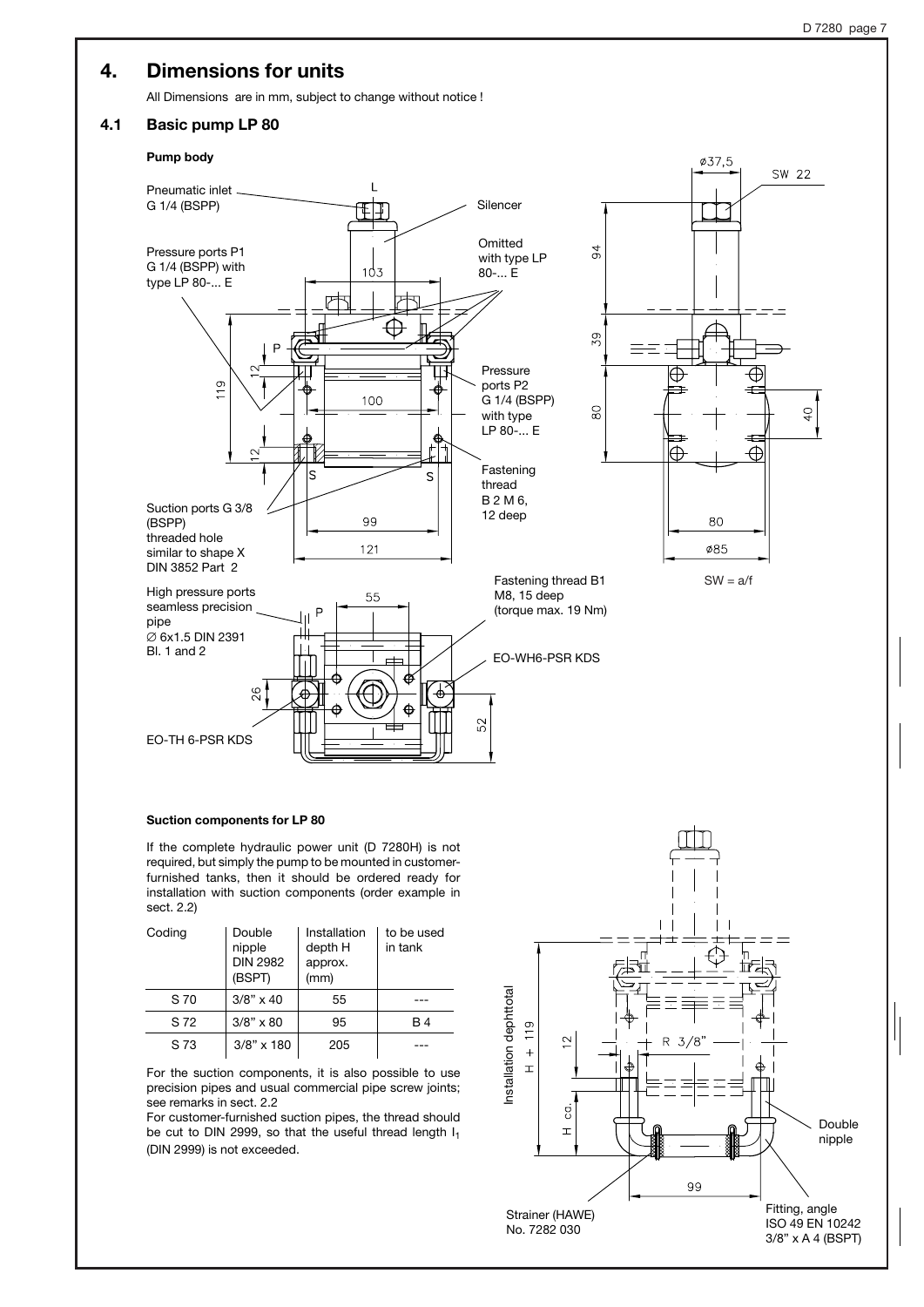## **4. Dimensions for units**

All Dimensions are in mm, subject to change without notice !

#### **4.1 Basic pump LP 80**

#### **Pump body**



#### **Suction components for LP 80**

If the complete hydraulic power unit (D 7280H) is not required, but simply the pump to be mounted in customerfurnished tanks, then it should be ordered ready for installation with suction components (order example in sect. 2.2)

| Coding | Double<br>nipple<br><b>DIN 2982</b><br>(BSPT) | Installation<br>depth H<br>approx.<br>(mm) | to be used<br>in tank |
|--------|-----------------------------------------------|--------------------------------------------|-----------------------|
| S 70   | $3/8" \times 40$                              | 55                                         |                       |
| S 72   | $3/8" \times 80$                              | 95                                         | B 4                   |
| S 73   | $3/8" \times 180$                             | 205                                        |                       |

For the suction components, it is also possible to use precision pipes and usual commercial pipe screw joints; see remarks in sect. 2.2

For customer-furnished suction pipes, the thread should be cut to DIN 2999, so that the useful thread length  $I_1$ (DIN 2999) is not exceeded.

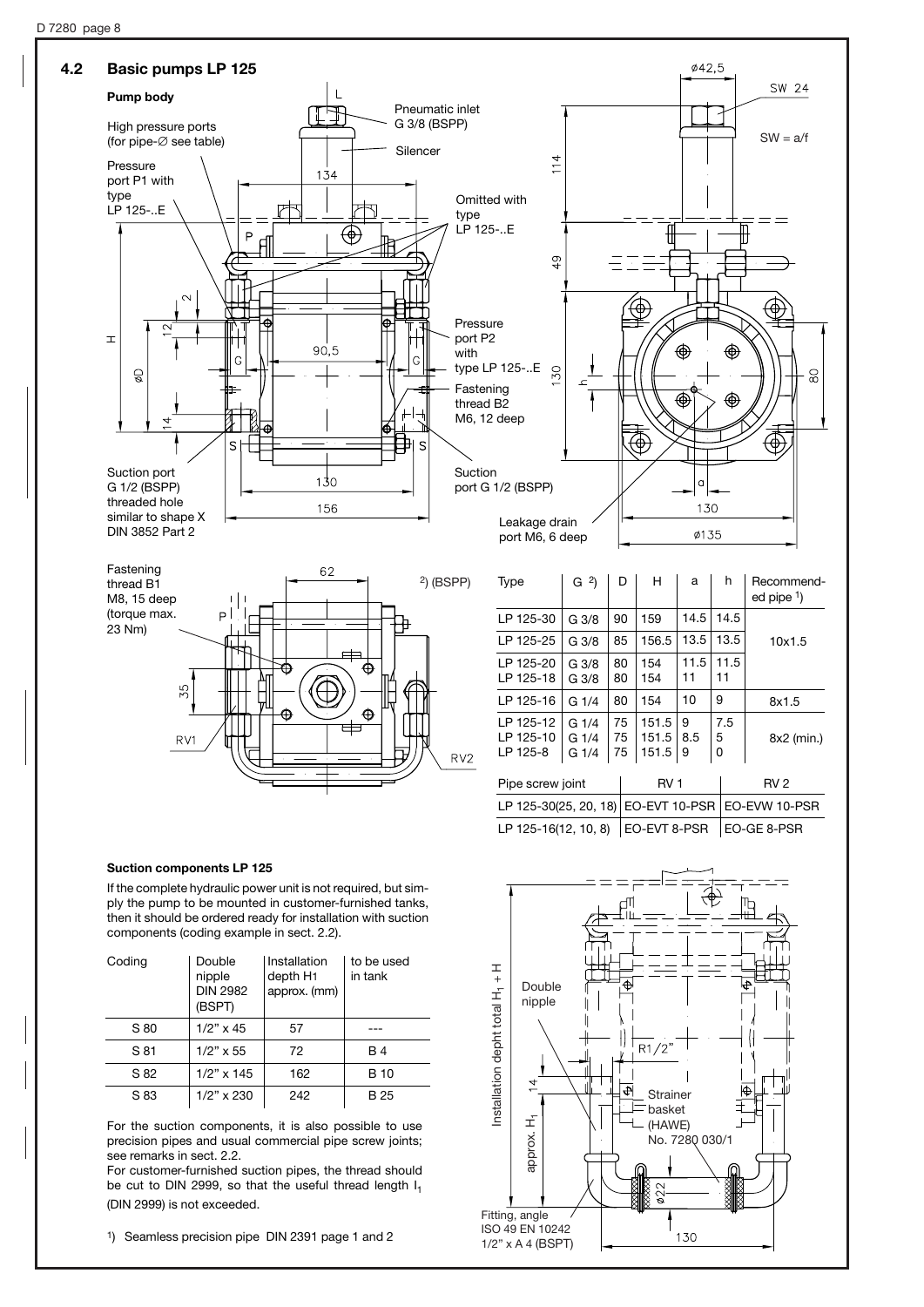



| LP 125-30                          | G 3/8                 | 90             | 159                     | 14.5          | 14.5          |                                                       |
|------------------------------------|-----------------------|----------------|-------------------------|---------------|---------------|-------------------------------------------------------|
| LP 125-25                          | G 3/8                 | 85             | 156.5                   | 13.5          | 13.5          | 10x1.5                                                |
| LP 125-20<br>LP 125-18             | G 3/8<br>G 3/8        | 80<br>80       | 154<br>154              | 11.5<br>11    | 11.5<br>11    |                                                       |
| LP 125-16                          | G 1/4                 | 80             | 154                     | 10            | 9             | 8x1.5                                                 |
| LP 125-12<br>LP 125-10<br>LP 125-8 | G1/4<br>G1/4<br>G 1/4 | 75<br>75<br>75 | 151.5<br>151.5<br>151.5 | 9<br>8.5<br>9 | 7.5<br>5<br>0 | 8x2 (min.)                                            |
| Pipe screw joint                   |                       |                | RV <sub>1</sub>         |               |               | RV <sub>2</sub>                                       |
|                                    |                       |                |                         |               |               | LP 125-30(25, 20, 18)   EO-EVT 10-PSR   EO-EVW 10-PSR |
|                                    |                       |                |                         |               |               |                                                       |

LP 125-16(12, 10, 8) EO-EVT 8-PSR EO-GE 8-PSR

#### **Suction components LP 125**

If the complete hydraulic power unit is not required, but simply the pump to be mounted in customer-furnished tanks, then it should be ordered ready for installation with suction components (coding example in sect. 2.2).

| Coding | Double<br>nipple<br><b>DIN 2982</b><br>(BSPT) | Installation<br>depth H <sub>1</sub><br>approx. (mm) | to be used<br>in tank |
|--------|-----------------------------------------------|------------------------------------------------------|-----------------------|
| S 80   | $1/2$ " x 45                                  | 57                                                   |                       |
| S 81   | $1/2$ " x 55                                  | 72                                                   | <b>B</b> 4            |
| S 82   | $1/2" \times 145$                             | 162                                                  | B 10                  |
| S 83   | $1/2$ " x 230                                 | 242                                                  | B 25                  |

For the suction components, it is also possible to use precision pipes and usual commercial pipe screw joints; see remarks in sect. 2.2.

For customer-furnished suction pipes, the thread should be cut to DIN 2999, so that the useful thread length I<sub>1</sub> (DIN 2999) is not exceeded.

1) Seamless precision pipe DIN 2391 page 1 and 2

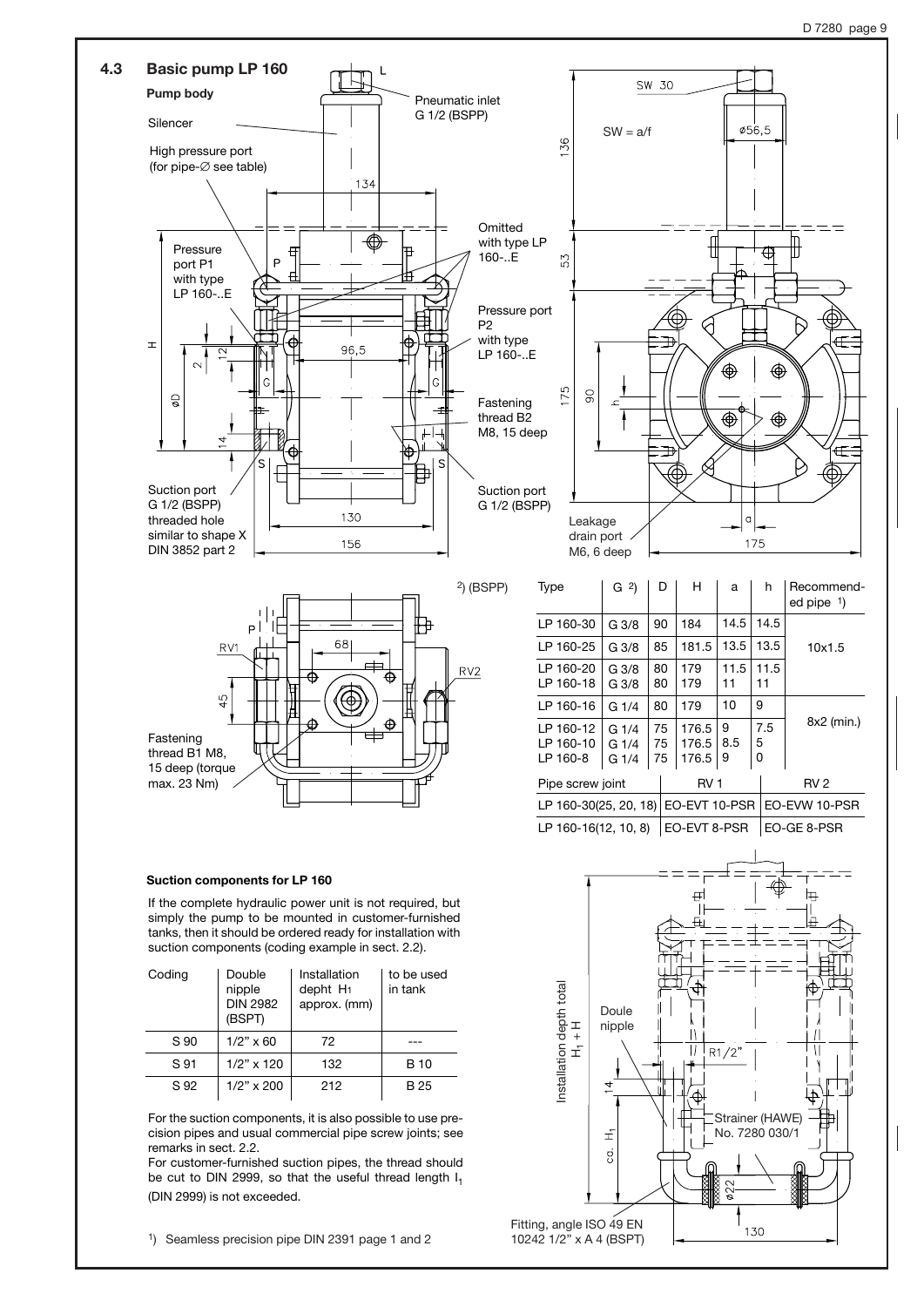

Fitting, angle ISO 49 EN 10242 1/2" x A 4 (BSPT)

130

1) Seamless precision pipe DIN 2391 page 1 and 2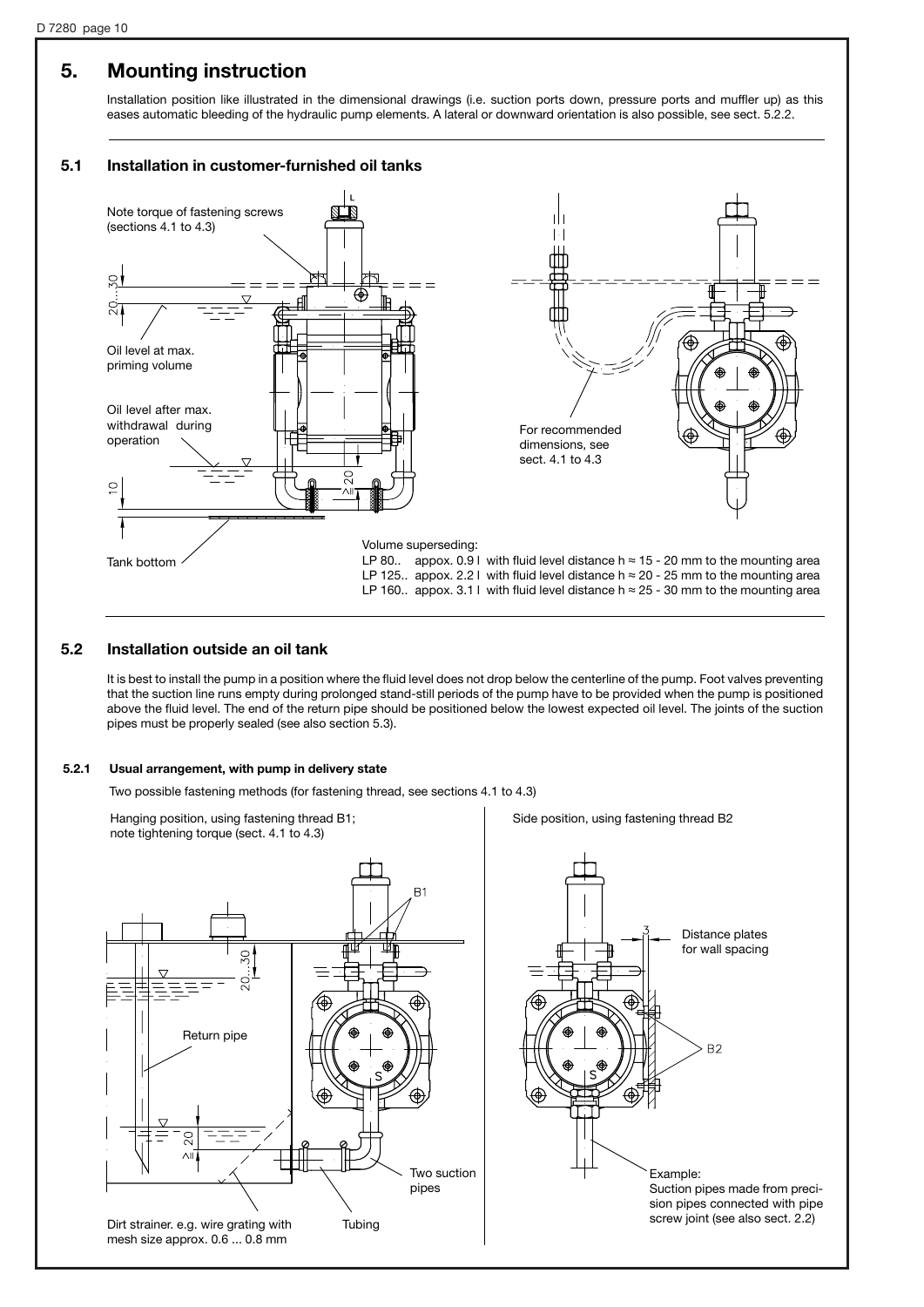## **5. Mounting instruction**

Installation position like illustrated in the dimensional drawings (i.e. suction ports down, pressure ports and muffler up) as this eases automatic bleeding of the hydraulic pump elements. A lateral or downward orientation is also possible, see sect. 5.2.2.

#### **5.1 Installation in customer-furnished oil tanks**



#### **5.2 Installation outside an oil tank**

It is best to install the pump in a position where the fluid level does not drop below the centerline of the pump. Foot valves preventing that the suction line runs empty during prolonged stand-still periods of the pump have to be provided when the pump is positioned above the fluid level. The end of the return pipe should be positioned below the lowest expected oil level. The joints of the suction pipes must be properly sealed (see also section 5.3).

#### **5.2.1 Usual arrangement, with pump in delivery state**

Two possible fastening methods (for fastening thread, see sections 4.1 to 4.3)

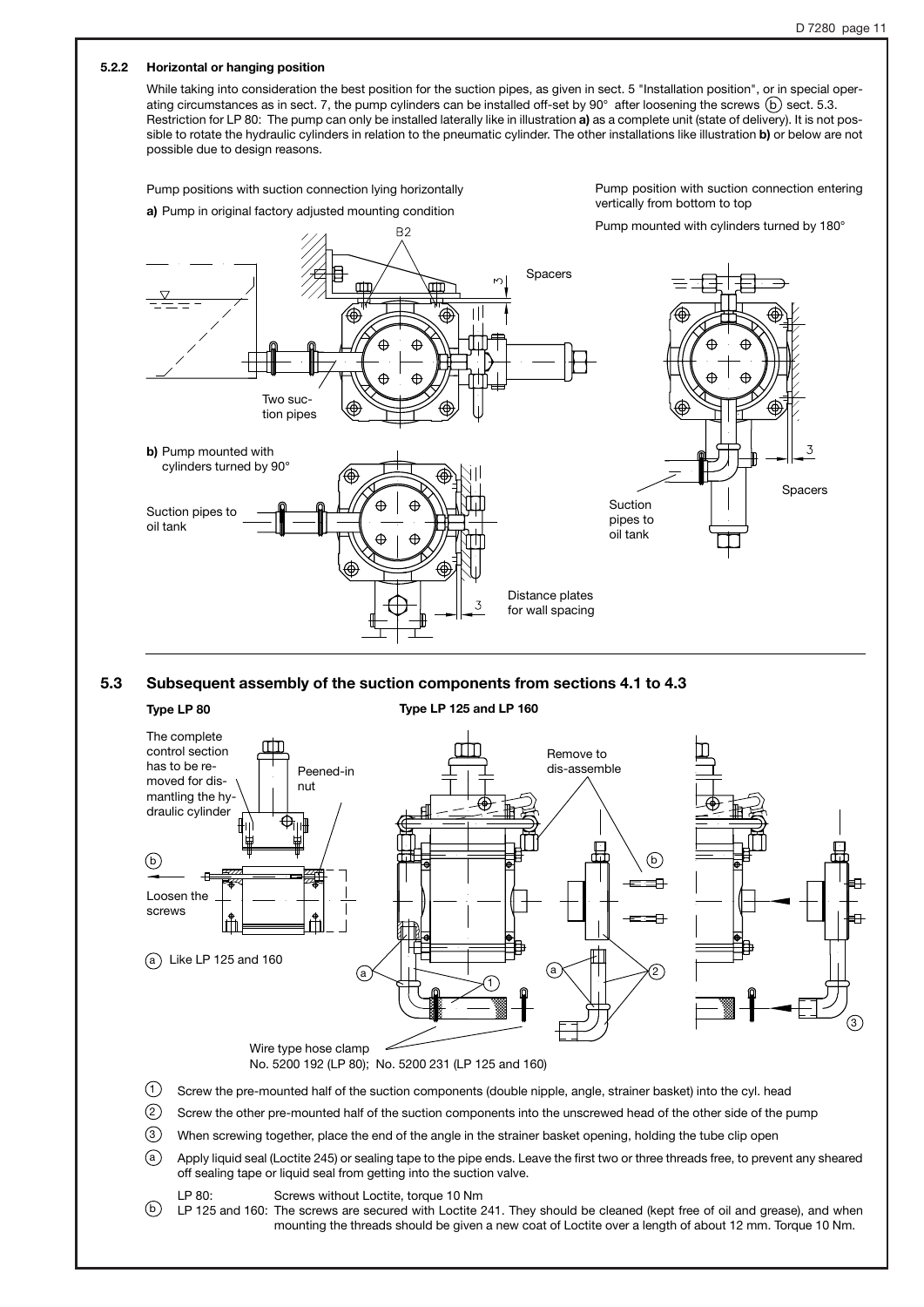#### **5.2.2 Horizontal or hanging position**

While taking into consideration the best position for the suction pipes, as given in sect. 5 "Installation position", or in special operating circumstances as in sect. 7, the pump cylinders can be installed off-set by  $90^\circ$  after loosening the screws  $(b)$  sect. 5.3. Restriction for LP 80: The pump can only be installed laterally like in illustration **a)** as a complete unit (state of delivery). It is not possible to rotate the hydraulic cylinders in relation to the pneumatic cylinder. The other installations like illustration **b)** or below are not possible due to design reasons.

Pump positions with suction connection lying horizontally **a)** Pump in original factory adjusted mounting condition

Pump position with suction connection entering vertically from bottom to top



#### **5.3 Subsequent assembly of the suction components from sections 4.1 to 4.3**

#### **Type LP 80 Type LP 125 and LP 160**



- When screwing together, place the end of the angle in the strainer basket opening, holding the tube clip open  $(3)$
- Apply liquid seal (Loctite 245) or sealing tape to the pipe ends. Leave the first two or three threads free, to prevent any sheared off sealing tape or liquid seal from getting into the suction valve. a
- LP 80: Screws without Loctite, torque 10 Nm

 $_2$ ) LP 125 and 160: The screws are secured with Loctite 241. They should be cleaned (kept free of oil and grease), and when mounting the threads should be given a new coat of Loctite over a length of about 12 mm. Torque 10 Nm.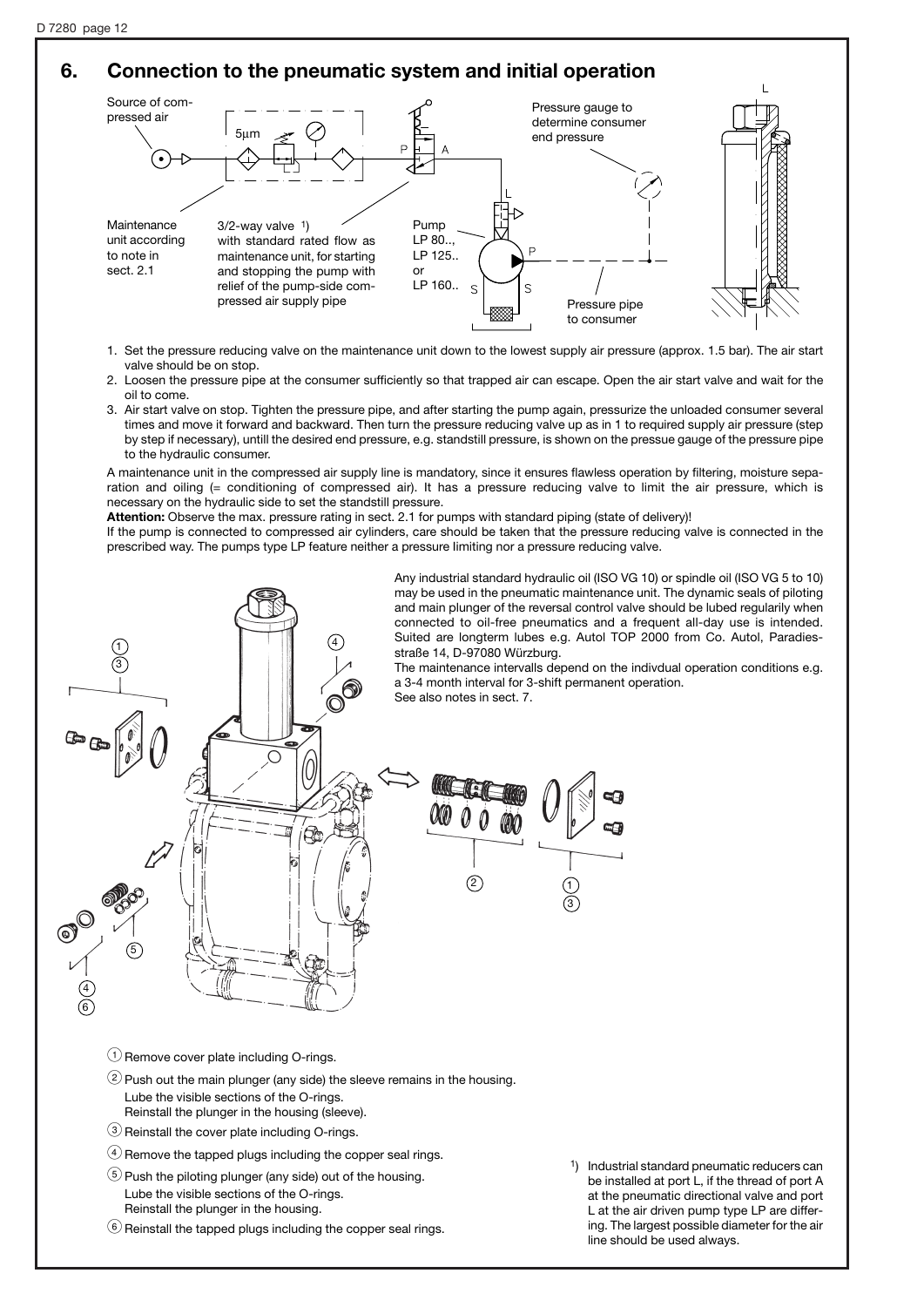## **6. Connection to the pneumatic system and initial operation**



- 1. Set the pressure reducing valve on the maintenance unit down to the lowest supply air pressure (approx. 1.5 bar). The air start valve should be on stop.
- 2. Loosen the pressure pipe at the consumer sufficiently so that trapped air can escape. Open the air start valve and wait for the oil to come.
- 3. Air start valve on stop. Tighten the pressure pipe, and after starting the pump again, pressurize the unloaded consumer several times and move it forward and backward. Then turn the pressure reducing valve up as in 1 to required supply air pressure (step by step if necessary), untill the desired end pressure, e.g. standstill pressure, is shown on the pressue gauge of the pressure pipe to the hydraulic consumer.

A maintenance unit in the compressed air supply line is mandatory, since it ensures flawless operation by filtering, moisture separation and oiling (= conditioning of compressed air). It has a pressure reducing valve to limit the air pressure, which is necessary on the hydraulic side to set the standstill pressure.

**Attention:** Observe the max. pressure rating in sect. 2.1 for pumps with standard piping (state of delivery)!

If the pump is connected to compressed air cylinders, care should be taken that the pressure reducing valve is connected in the prescribed way. The pumps type LP feature neither a pressure Iimiting nor a pressure reducing valve.



Any industrial standard hydraulic oil (ISO VG 10) or spindle oil (ISO VG 5 to 10) may be used in the pneumatic maintenance unit. The dynamic seals of piloting and main plunger of the reversal control valve should be lubed regularily when connected to oil-free pneumatics and a frequent all-day use is intended. Suited are longterm lubes e.g. Autol TOP 2000 from Co. Autol, Paradiesstraße 14, D-97080 Würzburg.

The maintenance intervalls depend on the indivdual operation conditions e.g. a 3-4 month interval for 3-shift permanent operation.

See also notes in sect. 7.



 $\bigcirc$  Remove cover plate including O-rings.

- $(2)$  Push out the main plunger (any side) the sleeve remains in the housing. Lube the visible sections of the O-rings. Reinstall the plunger in the housing (sleeve).
- $(3)$  Reinstall the cover plate including O-rings.
- $\Phi$  Remove the tapped plugs including the copper seal rings.
- $(5)$  Push the piloting plunger (any side) out of the housing. Lube the visible sections of the O-rings. Reinstall the plunger in the housing.
- $\circledS$  Reinstall the tapped plugs including the copper seal rings.

1) Industrial standard pneumatic reducers can be installed at port L, if the thread of port A at the pneumatic directional valve and port L at the air driven pump type LP are differing. The largest possible diameter for the air line should be used always.